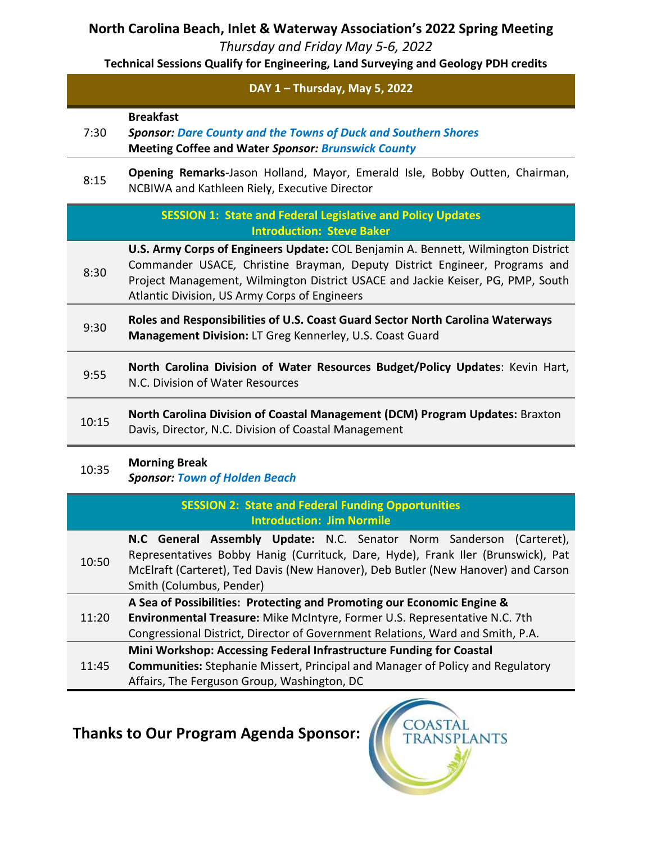## **North Carolina Beach, Inlet & Waterway Association's 2022 Spring Meeting**

*Thursday and Friday May 5-6, 2022*

**Technical Sessions Qualify for Engineering, Land Surveying and Geology PDH credits** 

|       | DAY 1 - Thursday, May 5, 2022                                                                                                                                                                                                                                                                              |
|-------|------------------------------------------------------------------------------------------------------------------------------------------------------------------------------------------------------------------------------------------------------------------------------------------------------------|
| 7:30  | <b>Breakfast</b><br><b>Sponsor: Dare County and the Towns of Duck and Southern Shores</b><br><b>Meeting Coffee and Water Sponsor: Brunswick County</b>                                                                                                                                                     |
| 8:15  | Opening Remarks-Jason Holland, Mayor, Emerald Isle, Bobby Outten, Chairman,<br>NCBIWA and Kathleen Riely, Executive Director                                                                                                                                                                               |
|       | <b>SESSION 1: State and Federal Legislative and Policy Updates</b><br><b>Introduction: Steve Baker</b>                                                                                                                                                                                                     |
| 8:30  | <b>U.S. Army Corps of Engineers Update: COL Benjamin A. Bennett, Wilmington District</b><br>Commander USACE, Christine Brayman, Deputy District Engineer, Programs and<br>Project Management, Wilmington District USACE and Jackie Keiser, PG, PMP, South<br>Atlantic Division, US Army Corps of Engineers |
| 9:30  | Roles and Responsibilities of U.S. Coast Guard Sector North Carolina Waterways<br>Management Division: LT Greg Kennerley, U.S. Coast Guard                                                                                                                                                                 |
| 9:55  | North Carolina Division of Water Resources Budget/Policy Updates: Kevin Hart,<br>N.C. Division of Water Resources                                                                                                                                                                                          |
| 10:15 | North Carolina Division of Coastal Management (DCM) Program Updates: Braxton<br>Davis, Director, N.C. Division of Coastal Management                                                                                                                                                                       |
| 10:35 | <b>Morning Break</b><br><b>Sponsor: Town of Holden Beach</b>                                                                                                                                                                                                                                               |
|       | <b>SESSION 2: State and Federal Funding Opportunities</b><br><b>Introduction: Jim Normile</b>                                                                                                                                                                                                              |
| 10:50 | N.C General Assembly Update: N.C. Senator Norm Sanderson<br>(Carteret),<br>Representatives Bobby Hanig (Currituck, Dare, Hyde), Frank Iler (Brunswick), Pat<br>McElraft (Carteret), Ted Davis (New Hanover), Deb Butler (New Hanover) and Carson<br>Smith (Columbus, Pender)                               |
| 11:20 | A Sea of Possibilities: Protecting and Promoting our Economic Engine &<br>Environmental Treasure: Mike McIntyre, Former U.S. Representative N.C. 7th<br>Congressional District, Director of Government Relations, Ward and Smith, P.A.                                                                     |
| 11:45 | Mini Workshop: Accessing Federal Infrastructure Funding for Coastal<br><b>Communities:</b> Stephanie Missert, Principal and Manager of Policy and Regulatory<br>Affairs, The Ferguson Group, Washington, DC                                                                                                |

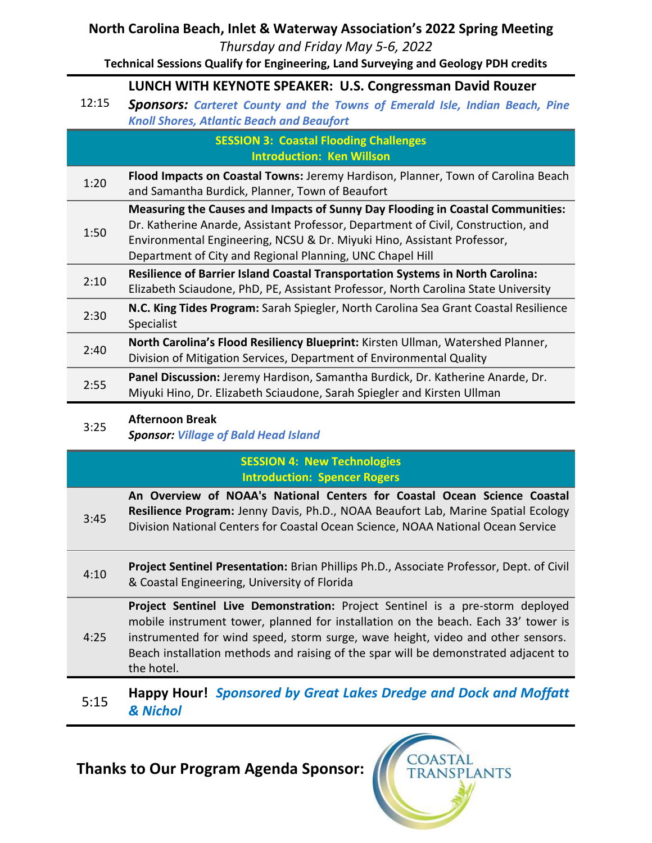## **North Carolina Beach, Inlet & Waterway Association's 2022 Spring Meeting**

*Thursday and Friday May 5-6, 2022*

**Technical Sessions Qualify for Engineering, Land Surveying and Geology PDH credits** 

## **LUNCH WITH KEYNOTE SPEAKER: U.S. Congressman David Rouzer**

12:15 *Sponsors: Carteret County and the Towns of Emerald Isle, Indian Beach, Pine Knoll Shores, Atlantic Beach and Beaufort*

### **SESSION 3: Coastal Flooding Challenges Introduction: Ken Willson**

1:20 **Flood Impacts on Coastal Towns:** Jeremy Hardison, Planner, Town of Carolina Beach and Samantha Burdick, Planner, Town of Beaufort

1:50 **Measuring the Causes and Impacts of Sunny Day Flooding in Coastal Communities:**  Dr. Katherine Anarde, Assistant Professor, Department of Civil, Construction, and Environmental Engineering, NCSU & Dr. Miyuki Hino, Assistant Professor,

- Department of City and Regional Planning, UNC Chapel Hill
- 2:10 **Resilience of Barrier Island Coastal Transportation Systems in North Carolina:**  Elizabeth Sciaudone, PhD, PE, Assistant Professor, North Carolina State University
- 2:30 **N.C. King Tides Program:** Sarah Spiegler, North Carolina Sea Grant Coastal Resilience
- Specialist 2:40 **North Carolina's Flood Resiliency Blueprint:** Kirsten Ullman, Watershed Planner,
- Division of Mitigation Services, Department of Environmental Quality
- 2:55 **Panel Discussion:** Jeremy Hardison, Samantha Burdick, Dr. Katherine Anarde, Dr. Miyuki Hino, Dr. Elizabeth Sciaudone, Sarah Spiegler and Kirsten Ullman

### **Afternoon Break**

3:25 *Sponsor: Village of Bald Head Island*

## **SESSION 4: New Technologies Introduction: Spencer Rogers**

3:45 **An Overview of NOAA's National Centers for Coastal Ocean Science Coastal Resilience Program:** Jenny Davis, Ph.D., NOAA Beaufort Lab, Marine Spatial Ecology Division National Centers for Coastal Ocean Science, NOAA National Ocean Service

4:10 **Project Sentinel Presentation:** Brian Phillips Ph.D., Associate Professor, Dept. of Civil & Coastal Engineering, University of Florida

4:25 **Project Sentinel Live Demonstration:** Project Sentinel is a pre-storm deployed mobile instrument tower, planned for installation on the beach. Each 33' tower is instrumented for wind speed, storm surge, wave height, video and other sensors. Beach installation methods and raising of the spar will be demonstrated adjacent to the hotel.

## 5:15 **Happy Hour!** *Sponsored by Great Lakes Dredge and Dock and Moffatt & Nichol*

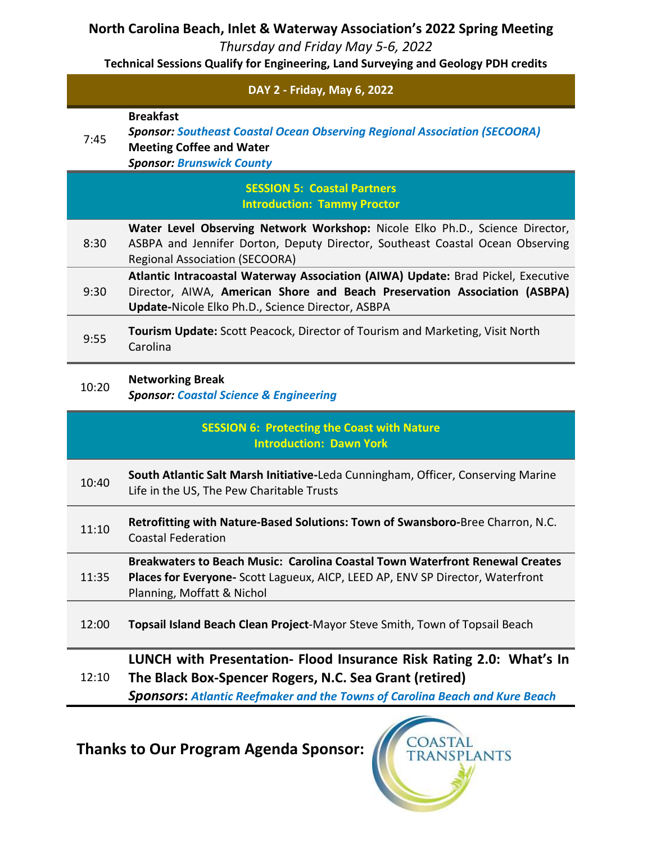## **North Carolina Beach, Inlet & Waterway Association's 2022 Spring Meeting**

*Thursday and Friday May 5-6, 2022*

**Technical Sessions Qualify for Engineering, Land Surveying and Geology PDH credits** 

| DAY 2 - Friday, May 6, 2022 |                                                                                                                                                                                                                     |
|-----------------------------|---------------------------------------------------------------------------------------------------------------------------------------------------------------------------------------------------------------------|
| 7:45                        | <b>Breakfast</b><br><b>Sponsor: Southeast Coastal Ocean Observing Regional Association (SECOORA)</b><br><b>Meeting Coffee and Water</b><br><b>Sponsor: Brunswick County</b>                                         |
|                             | <b>SESSION 5: Coastal Partners</b><br><b>Introduction: Tammy Proctor</b>                                                                                                                                            |
| 8:30                        | Water Level Observing Network Workshop: Nicole Elko Ph.D., Science Director,<br>ASBPA and Jennifer Dorton, Deputy Director, Southeast Coastal Ocean Observing<br><b>Regional Association (SECOORA)</b>              |
| 9:30                        | Atlantic Intracoastal Waterway Association (AIWA) Update: Brad Pickel, Executive<br>Director, AIWA, American Shore and Beach Preservation Association (ASBPA)<br>Update-Nicole Elko Ph.D., Science Director, ASBPA  |
| 9:55                        | <b>Tourism Update:</b> Scott Peacock, Director of Tourism and Marketing, Visit North<br>Carolina                                                                                                                    |
| 10:20                       | <b>Networking Break</b><br><b>Sponsor: Coastal Science &amp; Engineering</b>                                                                                                                                        |
|                             | <b>SESSION 6: Protecting the Coast with Nature</b><br><b>Introduction: Dawn York</b>                                                                                                                                |
| 10:40                       | South Atlantic Salt Marsh Initiative-Leda Cunningham, Officer, Conserving Marine<br>Life in the US, The Pew Charitable Trusts                                                                                       |
| 11:10                       | Retrofitting with Nature-Based Solutions: Town of Swansboro-Bree Charron, N.C.<br><b>Coastal Federation</b>                                                                                                         |
| 11:35                       | Breakwaters to Beach Music: Carolina Coastal Town Waterfront Renewal Creates<br>Places for Everyone- Scott Lagueux, AICP, LEED AP, ENV SP Director, Waterfront<br>Planning, Moffatt & Nichol                        |
| 12:00                       | Topsail Island Beach Clean Project-Mayor Steve Smith, Town of Topsail Beach                                                                                                                                         |
| 12:10                       | LUNCH with Presentation- Flood Insurance Risk Rating 2.0: What's In<br>The Black Box-Spencer Rogers, N.C. Sea Grant (retired)<br><b>Sponsors: Atlantic Reefmaker and the Towns of Carolina Beach and Kure Beach</b> |